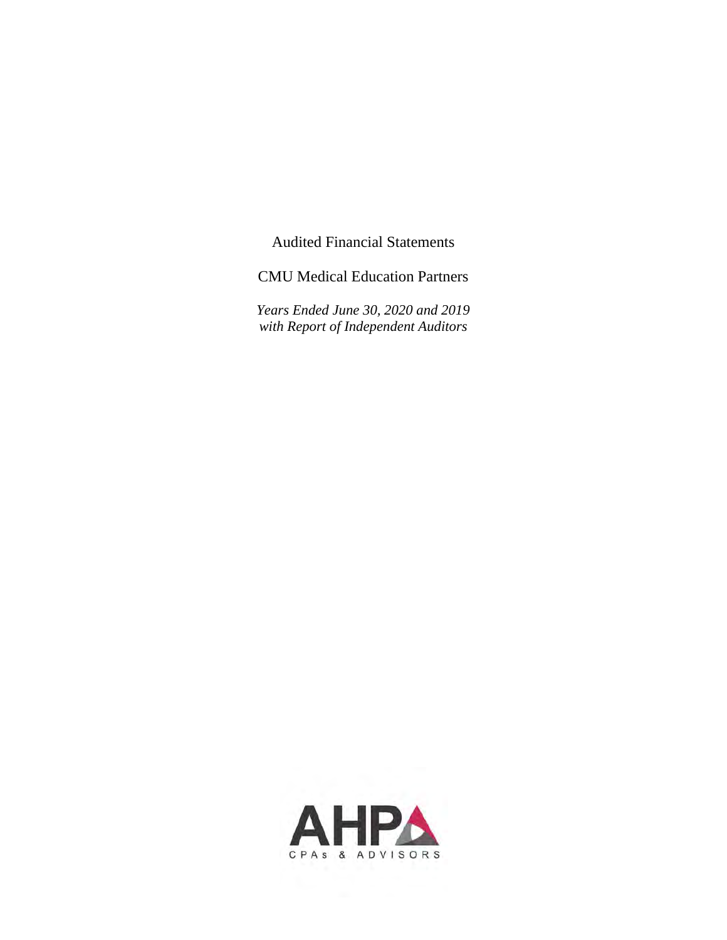Audited Financial Statements

CMU Medical Education Partners

*Years Ended June 30, 2020 and 2019 with Report of Independent Auditors*

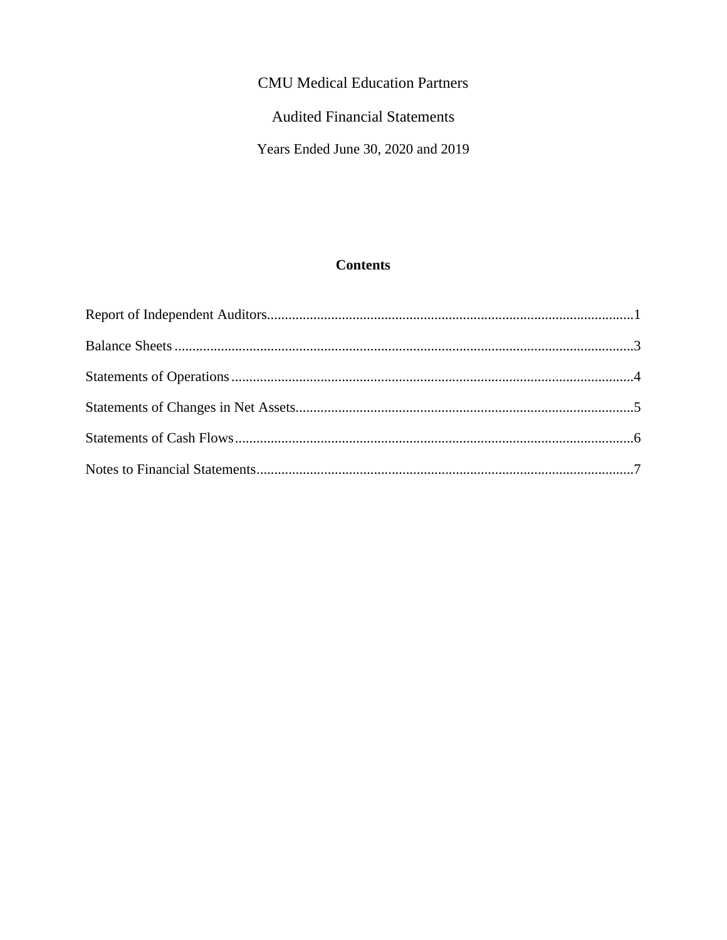**Audited Financial Statements** 

Years Ended June 30, 2020 and 2019

# **Contents**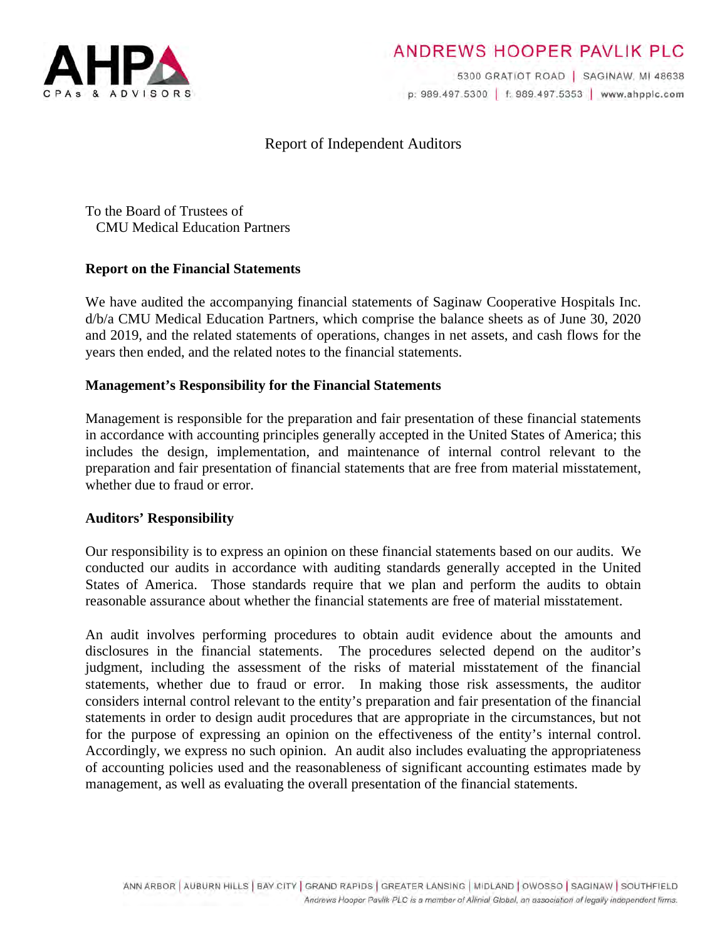

# ANDREWS HOOPER PAVLIK PLC

5300 GRATIOT ROAD | SAGINAW, MI 48638 p: 989.497.5300 | f: 989.497.5353 | www.ahpplc.com

# Report of Independent Auditors

To the Board of Trustees of CMU Medical Education Partners

### **Report on the Financial Statements**

We have audited the accompanying financial statements of Saginaw Cooperative Hospitals Inc. d/b/a CMU Medical Education Partners, which comprise the balance sheets as of June 30, 2020 and 2019, and the related statements of operations, changes in net assets, and cash flows for the years then ended, and the related notes to the financial statements.

### **Management's Responsibility for the Financial Statements**

Management is responsible for the preparation and fair presentation of these financial statements in accordance with accounting principles generally accepted in the United States of America; this includes the design, implementation, and maintenance of internal control relevant to the preparation and fair presentation of financial statements that are free from material misstatement, whether due to fraud or error.

#### **Auditors' Responsibility**

Our responsibility is to express an opinion on these financial statements based on our audits. We conducted our audits in accordance with auditing standards generally accepted in the United States of America. Those standards require that we plan and perform the audits to obtain reasonable assurance about whether the financial statements are free of material misstatement.

An audit involves performing procedures to obtain audit evidence about the amounts and disclosures in the financial statements. The procedures selected depend on the auditor's judgment, including the assessment of the risks of material misstatement of the financial statements, whether due to fraud or error. In making those risk assessments, the auditor considers internal control relevant to the entity's preparation and fair presentation of the financial statements in order to design audit procedures that are appropriate in the circumstances, but not for the purpose of expressing an opinion on the effectiveness of the entity's internal control. Accordingly, we express no such opinion. An audit also includes evaluating the appropriateness of accounting policies used and the reasonableness of significant accounting estimates made by management, as well as evaluating the overall presentation of the financial statements.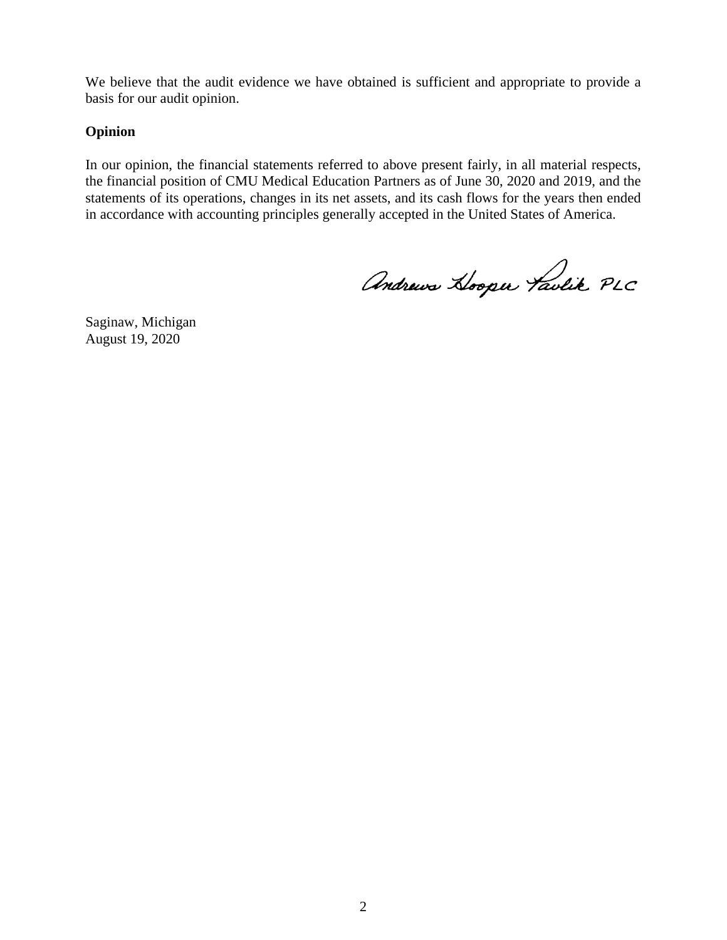We believe that the audit evidence we have obtained is sufficient and appropriate to provide a basis for our audit opinion.

### **Opinion**

In our opinion, the financial statements referred to above present fairly, in all material respects, the financial position of CMU Medical Education Partners as of June 30, 2020 and 2019, and the statements of its operations, changes in its net assets, and its cash flows for the years then ended in accordance with accounting principles generally accepted in the United States of America.

Andrews Hooper Taulik PLC

Saginaw, Michigan August 19, 2020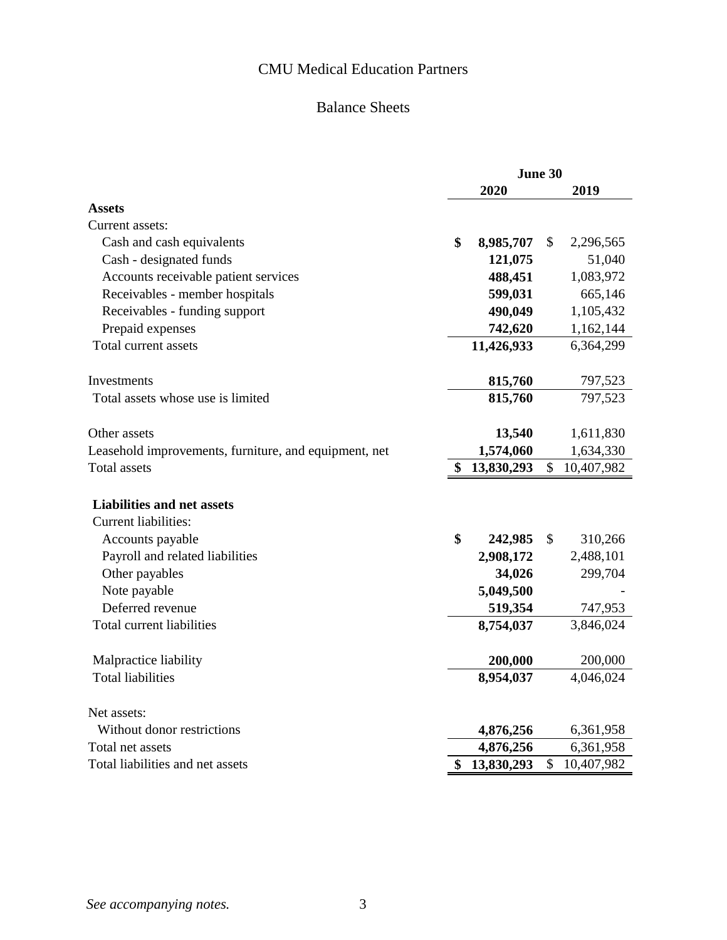# Balance Sheets

|                                                       | June 30 |            |                           |            |
|-------------------------------------------------------|---------|------------|---------------------------|------------|
|                                                       |         | 2020       |                           | 2019       |
| <b>Assets</b>                                         |         |            |                           |            |
| Current assets:                                       |         |            |                           |            |
| Cash and cash equivalents                             | \$      | 8,985,707  | $\boldsymbol{\mathsf{S}}$ | 2,296,565  |
| Cash - designated funds                               |         | 121,075    |                           | 51,040     |
| Accounts receivable patient services                  |         | 488,451    |                           | 1,083,972  |
| Receivables - member hospitals                        |         | 599,031    |                           | 665,146    |
| Receivables - funding support                         |         | 490,049    |                           | 1,105,432  |
| Prepaid expenses                                      |         | 742,620    |                           | 1,162,144  |
| Total current assets                                  |         | 11,426,933 |                           | 6,364,299  |
| Investments                                           |         | 815,760    |                           | 797,523    |
| Total assets whose use is limited                     |         | 815,760    |                           | 797,523    |
| Other assets                                          |         | 13,540     |                           | 1,611,830  |
| Leasehold improvements, furniture, and equipment, net |         | 1,574,060  |                           | 1,634,330  |
| <b>Total assets</b>                                   |         | 13,830,293 | \$                        | 10,407,982 |
|                                                       |         |            |                           |            |
| <b>Liabilities and net assets</b>                     |         |            |                           |            |
| <b>Current liabilities:</b>                           |         |            |                           |            |
| Accounts payable                                      | \$      | 242,985    | $\mathbb{S}$              | 310,266    |
| Payroll and related liabilities                       |         | 2,908,172  |                           | 2,488,101  |
| Other payables                                        |         | 34,026     |                           | 299,704    |
| Note payable                                          |         | 5,049,500  |                           |            |
| Deferred revenue                                      |         | 519,354    |                           | 747,953    |
| Total current liabilities                             |         | 8,754,037  |                           | 3,846,024  |
| Malpractice liability                                 |         | 200,000    |                           | 200,000    |
| <b>Total liabilities</b>                              |         | 8,954,037  |                           | 4,046,024  |
|                                                       |         |            |                           |            |
| Net assets:                                           |         |            |                           |            |
| Without donor restrictions                            |         | 4,876,256  |                           | 6,361,958  |
| Total net assets                                      |         | 4,876,256  |                           | 6,361,958  |
| Total liabilities and net assets                      |         | 13,830,293 | \$                        | 10,407,982 |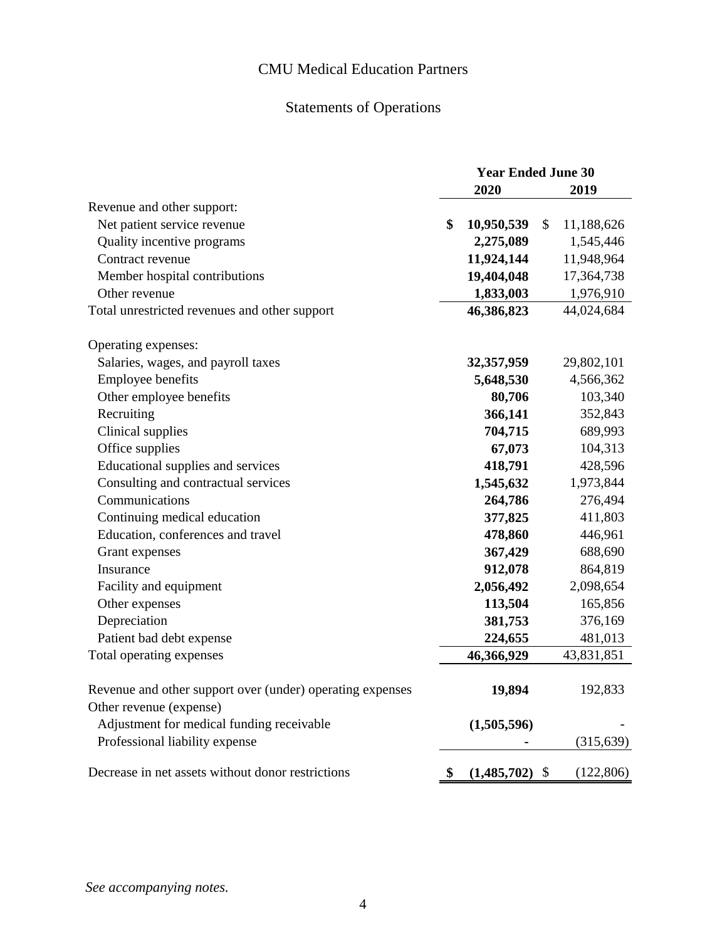# Statements of Operations

|                                                                                      | <b>Year Ended June 30</b> |              |    |            |
|--------------------------------------------------------------------------------------|---------------------------|--------------|----|------------|
|                                                                                      |                           | 2020         |    | 2019       |
| Revenue and other support:                                                           |                           |              |    |            |
| Net patient service revenue                                                          | \$                        | 10,950,539   | \$ | 11,188,626 |
| Quality incentive programs                                                           |                           | 2,275,089    |    | 1,545,446  |
| Contract revenue                                                                     |                           | 11,924,144   |    | 11,948,964 |
| Member hospital contributions                                                        |                           | 19,404,048   |    | 17,364,738 |
| Other revenue                                                                        |                           | 1,833,003    |    | 1,976,910  |
| Total unrestricted revenues and other support                                        |                           | 46,386,823   |    | 44,024,684 |
| Operating expenses:                                                                  |                           |              |    |            |
| Salaries, wages, and payroll taxes                                                   |                           | 32, 357, 959 |    | 29,802,101 |
| <b>Employee benefits</b>                                                             |                           | 5,648,530    |    | 4,566,362  |
| Other employee benefits                                                              |                           | 80,706       |    | 103,340    |
| Recruiting                                                                           |                           | 366,141      |    | 352,843    |
| Clinical supplies                                                                    |                           | 704,715      |    | 689,993    |
| Office supplies                                                                      |                           | 67,073       |    | 104,313    |
| Educational supplies and services                                                    |                           | 418,791      |    | 428,596    |
| Consulting and contractual services                                                  |                           | 1,545,632    |    | 1,973,844  |
| Communications                                                                       |                           | 264,786      |    | 276,494    |
| Continuing medical education                                                         |                           | 377,825      |    | 411,803    |
| Education, conferences and travel                                                    |                           | 478,860      |    | 446,961    |
| Grant expenses                                                                       |                           | 367,429      |    | 688,690    |
| Insurance                                                                            |                           | 912,078      |    | 864,819    |
| Facility and equipment                                                               |                           | 2,056,492    |    | 2,098,654  |
| Other expenses                                                                       |                           | 113,504      |    | 165,856    |
| Depreciation                                                                         |                           | 381,753      |    | 376,169    |
| Patient bad debt expense                                                             |                           | 224,655      |    | 481,013    |
| Total operating expenses                                                             |                           | 46,366,929   |    | 43,831,851 |
| Revenue and other support over (under) operating expenses<br>Other revenue (expense) |                           | 19,894       |    | 192,833    |
| Adjustment for medical funding receivable                                            |                           | (1,505,596)  |    |            |
| Professional liability expense                                                       |                           |              |    | (315, 639) |
| Decrease in net assets without donor restrictions                                    |                           | (1,485,702)  |    | (122, 806) |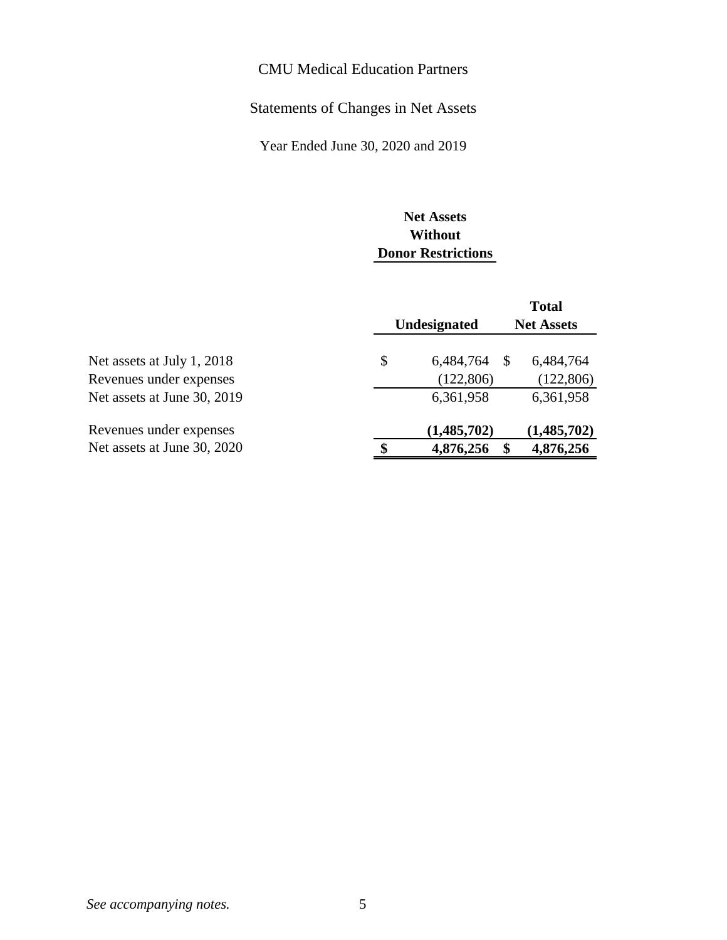Statements of Changes in Net Assets

Year Ended June 30, 2020 and 2019

# **Net Assets Without Donor Restrictions**

|                             |                 | <b>Total</b>      |
|-----------------------------|-----------------|-------------------|
|                             | Undesignated    | <b>Net Assets</b> |
| Net assets at July 1, 2018  | \$<br>6,484,764 | 6,484,764         |
| Revenues under expenses     | (122, 806)      | (122, 806)        |
| Net assets at June 30, 2019 | 6,361,958       | 6,361,958         |
| Revenues under expenses     | (1,485,702)     | (1,485,702)       |
| Net assets at June 30, 2020 | 4,876,256       | 4,876,256         |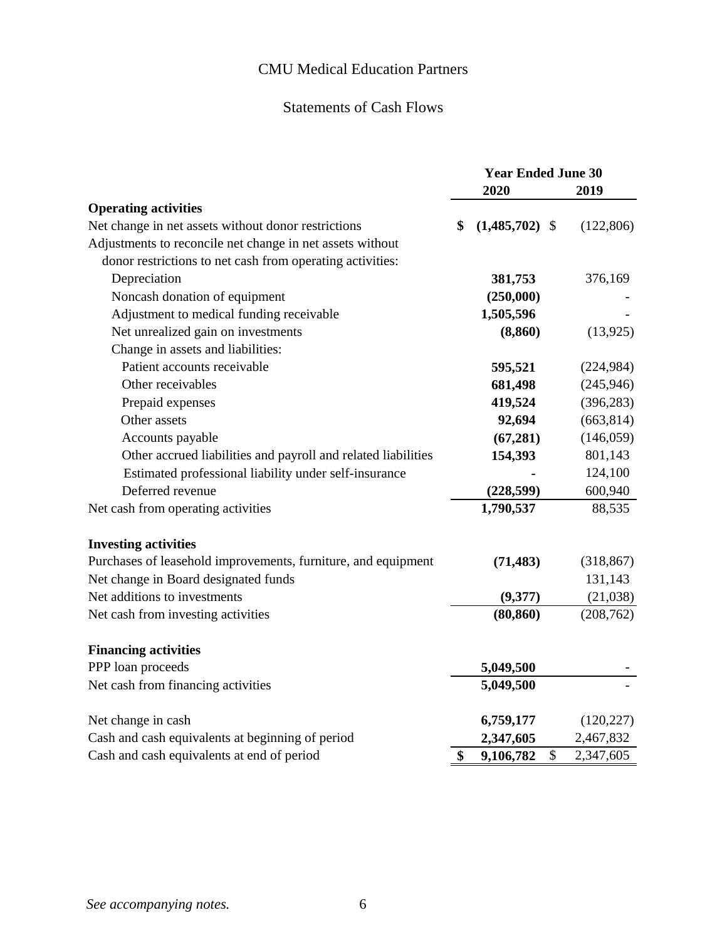# Statements of Cash Flows

|                                                               | <b>Year Ended June 30</b> |                  |    |            |
|---------------------------------------------------------------|---------------------------|------------------|----|------------|
|                                                               |                           | 2020             |    | 2019       |
| <b>Operating activities</b>                                   |                           |                  |    |            |
| Net change in net assets without donor restrictions           | \$                        | $(1,485,702)$ \$ |    | (122,806)  |
| Adjustments to reconcile net change in net assets without     |                           |                  |    |            |
| donor restrictions to net cash from operating activities:     |                           |                  |    |            |
| Depreciation                                                  |                           | 381,753          |    | 376,169    |
| Noncash donation of equipment                                 |                           | (250,000)        |    |            |
| Adjustment to medical funding receivable                      |                           | 1,505,596        |    |            |
| Net unrealized gain on investments                            |                           | (8, 860)         |    | (13, 925)  |
| Change in assets and liabilities:                             |                           |                  |    |            |
| Patient accounts receivable                                   |                           | 595,521          |    | (224, 984) |
| Other receivables                                             |                           | 681,498          |    | (245, 946) |
| Prepaid expenses                                              |                           | 419,524          |    | (396, 283) |
| Other assets                                                  |                           | 92,694           |    | (663, 814) |
| Accounts payable                                              |                           | (67, 281)        |    | (146, 059) |
| Other accrued liabilities and payroll and related liabilities |                           | 154,393          |    | 801,143    |
| Estimated professional liability under self-insurance         |                           |                  |    | 124,100    |
| Deferred revenue                                              |                           | (228, 599)       |    | 600,940    |
| Net cash from operating activities                            |                           | 1,790,537        |    | 88,535     |
| <b>Investing activities</b>                                   |                           |                  |    |            |
| Purchases of leasehold improvements, furniture, and equipment |                           | (71, 483)        |    | (318, 867) |
| Net change in Board designated funds                          |                           |                  |    | 131,143    |
| Net additions to investments                                  |                           | (9,377)          |    | (21,038)   |
| Net cash from investing activities                            |                           | (80, 860)        |    | (208, 762) |
| <b>Financing activities</b>                                   |                           |                  |    |            |
| PPP loan proceeds                                             |                           | 5,049,500        |    |            |
| Net cash from financing activities                            |                           | 5,049,500        |    |            |
| Net change in cash                                            |                           | 6,759,177        |    | (120, 227) |
| Cash and cash equivalents at beginning of period              |                           | 2,347,605        |    | 2,467,832  |
| Cash and cash equivalents at end of period                    | \$                        | 9,106,782        | \$ | 2,347,605  |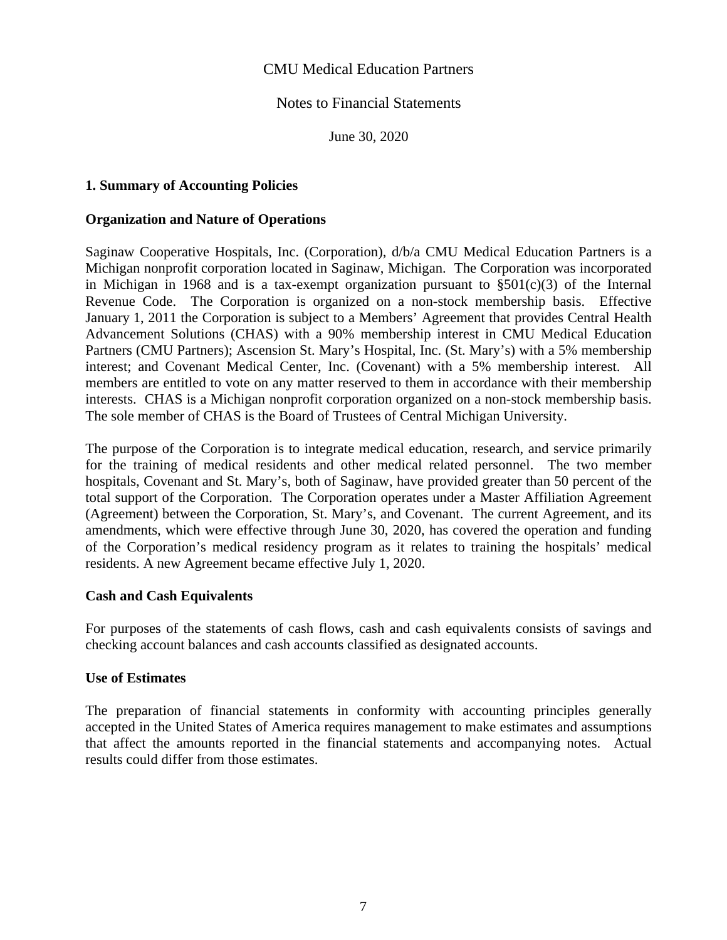#### Notes to Financial Statements

June 30, 2020

#### **1. Summary of Accounting Policies**

#### **Organization and Nature of Operations**

Saginaw Cooperative Hospitals, Inc. (Corporation), d/b/a CMU Medical Education Partners is a Michigan nonprofit corporation located in Saginaw, Michigan. The Corporation was incorporated in Michigan in 1968 and is a tax-exempt organization pursuant to  $\S501(c)(3)$  of the Internal Revenue Code. The Corporation is organized on a non-stock membership basis. Effective January 1, 2011 the Corporation is subject to a Members' Agreement that provides Central Health Advancement Solutions (CHAS) with a 90% membership interest in CMU Medical Education Partners (CMU Partners); Ascension St. Mary's Hospital, Inc. (St. Mary's) with a 5% membership interest; and Covenant Medical Center, Inc. (Covenant) with a 5% membership interest. All members are entitled to vote on any matter reserved to them in accordance with their membership interests. CHAS is a Michigan nonprofit corporation organized on a non-stock membership basis. The sole member of CHAS is the Board of Trustees of Central Michigan University.

The purpose of the Corporation is to integrate medical education, research, and service primarily for the training of medical residents and other medical related personnel. The two member hospitals, Covenant and St. Mary's, both of Saginaw, have provided greater than 50 percent of the total support of the Corporation. The Corporation operates under a Master Affiliation Agreement (Agreement) between the Corporation, St. Mary's, and Covenant. The current Agreement, and its amendments, which were effective through June 30, 2020, has covered the operation and funding of the Corporation's medical residency program as it relates to training the hospitals' medical residents. A new Agreement became effective July 1, 2020.

#### **Cash and Cash Equivalents**

For purposes of the statements of cash flows, cash and cash equivalents consists of savings and checking account balances and cash accounts classified as designated accounts.

#### **Use of Estimates**

The preparation of financial statements in conformity with accounting principles generally accepted in the United States of America requires management to make estimates and assumptions that affect the amounts reported in the financial statements and accompanying notes. Actual results could differ from those estimates.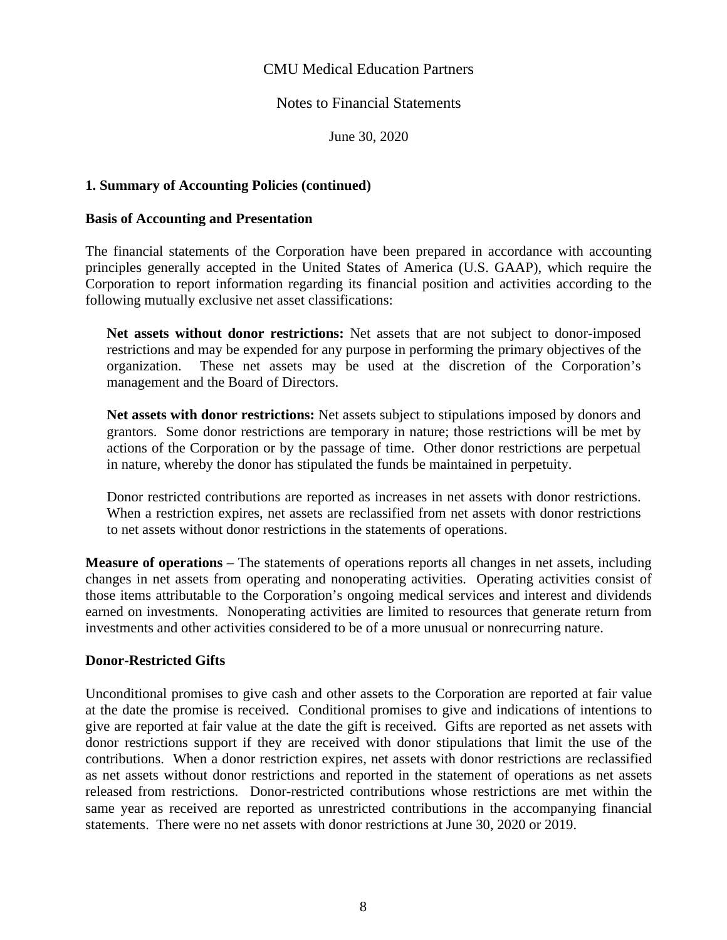#### Notes to Financial Statements

June 30, 2020

#### **1. Summary of Accounting Policies (continued)**

#### **Basis of Accounting and Presentation**

The financial statements of the Corporation have been prepared in accordance with accounting principles generally accepted in the United States of America (U.S. GAAP), which require the Corporation to report information regarding its financial position and activities according to the following mutually exclusive net asset classifications:

**Net assets without donor restrictions:** Net assets that are not subject to donor-imposed restrictions and may be expended for any purpose in performing the primary objectives of the organization. These net assets may be used at the discretion of the Corporation's management and the Board of Directors.

**Net assets with donor restrictions:** Net assets subject to stipulations imposed by donors and grantors. Some donor restrictions are temporary in nature; those restrictions will be met by actions of the Corporation or by the passage of time. Other donor restrictions are perpetual in nature, whereby the donor has stipulated the funds be maintained in perpetuity.

Donor restricted contributions are reported as increases in net assets with donor restrictions. When a restriction expires, net assets are reclassified from net assets with donor restrictions to net assets without donor restrictions in the statements of operations.

**Measure of operations** – The statements of operations reports all changes in net assets, including changes in net assets from operating and nonoperating activities. Operating activities consist of those items attributable to the Corporation's ongoing medical services and interest and dividends earned on investments. Nonoperating activities are limited to resources that generate return from investments and other activities considered to be of a more unusual or nonrecurring nature.

#### **Donor-Restricted Gifts**

Unconditional promises to give cash and other assets to the Corporation are reported at fair value at the date the promise is received. Conditional promises to give and indications of intentions to give are reported at fair value at the date the gift is received. Gifts are reported as net assets with donor restrictions support if they are received with donor stipulations that limit the use of the contributions. When a donor restriction expires, net assets with donor restrictions are reclassified as net assets without donor restrictions and reported in the statement of operations as net assets released from restrictions. Donor-restricted contributions whose restrictions are met within the same year as received are reported as unrestricted contributions in the accompanying financial statements. There were no net assets with donor restrictions at June 30, 2020 or 2019.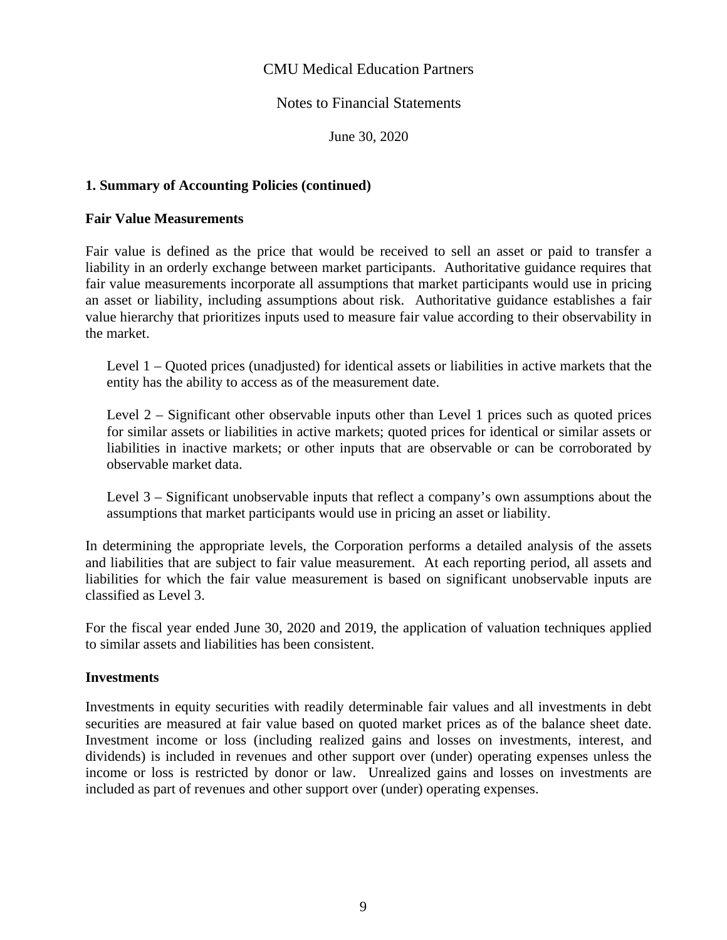### Notes to Financial Statements

June 30, 2020

#### **1. Summary of Accounting Policies (continued)**

#### **Fair Value Measurements**

Fair value is defined as the price that would be received to sell an asset or paid to transfer a liability in an orderly exchange between market participants. Authoritative guidance requires that fair value measurements incorporate all assumptions that market participants would use in pricing an asset or liability, including assumptions about risk. Authoritative guidance establishes a fair value hierarchy that prioritizes inputs used to measure fair value according to their observability in the market.

Level 1 – Quoted prices (unadjusted) for identical assets or liabilities in active markets that the entity has the ability to access as of the measurement date.

Level 2 – Significant other observable inputs other than Level 1 prices such as quoted prices for similar assets or liabilities in active markets; quoted prices for identical or similar assets or liabilities in inactive markets; or other inputs that are observable or can be corroborated by observable market data.

Level 3 – Significant unobservable inputs that reflect a company's own assumptions about the assumptions that market participants would use in pricing an asset or liability.

In determining the appropriate levels, the Corporation performs a detailed analysis of the assets and liabilities that are subject to fair value measurement. At each reporting period, all assets and liabilities for which the fair value measurement is based on significant unobservable inputs are classified as Level 3.

For the fiscal year ended June 30, 2020 and 2019, the application of valuation techniques applied to similar assets and liabilities has been consistent.

#### **Investments**

Investments in equity securities with readily determinable fair values and all investments in debt securities are measured at fair value based on quoted market prices as of the balance sheet date. Investment income or loss (including realized gains and losses on investments, interest, and dividends) is included in revenues and other support over (under) operating expenses unless the income or loss is restricted by donor or law. Unrealized gains and losses on investments are included as part of revenues and other support over (under) operating expenses.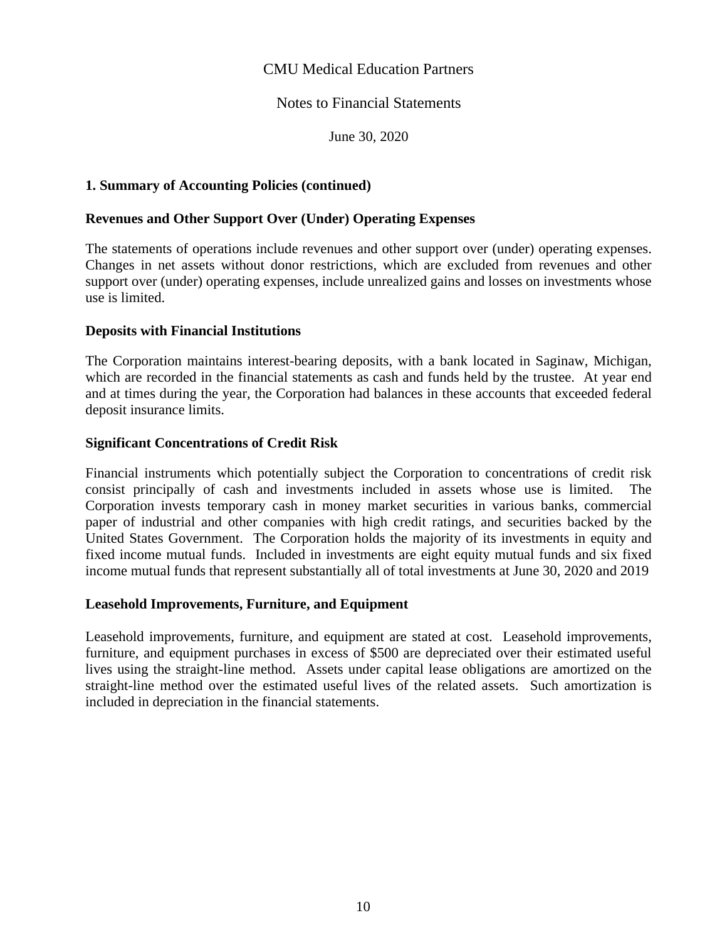# Notes to Financial Statements

June 30, 2020

#### **1. Summary of Accounting Policies (continued)**

### **Revenues and Other Support Over (Under) Operating Expenses**

The statements of operations include revenues and other support over (under) operating expenses. Changes in net assets without donor restrictions, which are excluded from revenues and other support over (under) operating expenses, include unrealized gains and losses on investments whose use is limited.

#### **Deposits with Financial Institutions**

The Corporation maintains interest-bearing deposits, with a bank located in Saginaw, Michigan, which are recorded in the financial statements as cash and funds held by the trustee. At year end and at times during the year, the Corporation had balances in these accounts that exceeded federal deposit insurance limits.

#### **Significant Concentrations of Credit Risk**

Financial instruments which potentially subject the Corporation to concentrations of credit risk consist principally of cash and investments included in assets whose use is limited. The Corporation invests temporary cash in money market securities in various banks, commercial paper of industrial and other companies with high credit ratings, and securities backed by the United States Government. The Corporation holds the majority of its investments in equity and fixed income mutual funds. Included in investments are eight equity mutual funds and six fixed income mutual funds that represent substantially all of total investments at June 30, 2020 and 2019

#### **Leasehold Improvements, Furniture, and Equipment**

Leasehold improvements, furniture, and equipment are stated at cost. Leasehold improvements, furniture, and equipment purchases in excess of \$500 are depreciated over their estimated useful lives using the straight-line method. Assets under capital lease obligations are amortized on the straight-line method over the estimated useful lives of the related assets. Such amortization is included in depreciation in the financial statements.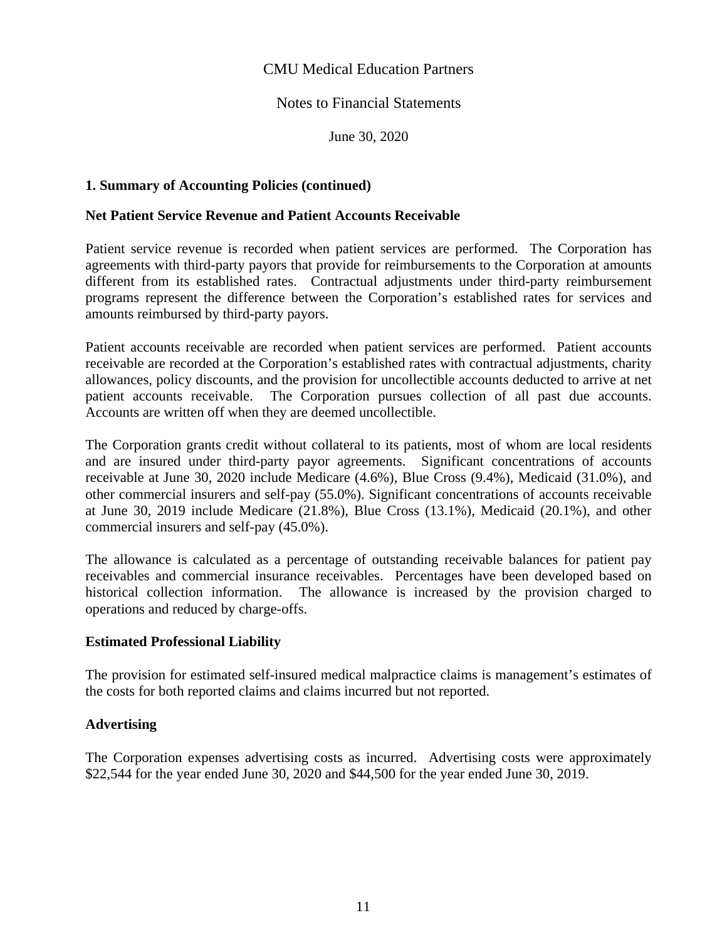# Notes to Financial Statements

June 30, 2020

### **1. Summary of Accounting Policies (continued)**

#### **Net Patient Service Revenue and Patient Accounts Receivable**

Patient service revenue is recorded when patient services are performed. The Corporation has agreements with third-party payors that provide for reimbursements to the Corporation at amounts different from its established rates. Contractual adjustments under third-party reimbursement programs represent the difference between the Corporation's established rates for services and amounts reimbursed by third-party payors.

Patient accounts receivable are recorded when patient services are performed. Patient accounts receivable are recorded at the Corporation's established rates with contractual adjustments, charity allowances, policy discounts, and the provision for uncollectible accounts deducted to arrive at net patient accounts receivable. The Corporation pursues collection of all past due accounts. Accounts are written off when they are deemed uncollectible.

The Corporation grants credit without collateral to its patients, most of whom are local residents and are insured under third-party payor agreements. Significant concentrations of accounts receivable at June 30, 2020 include Medicare (4.6%), Blue Cross (9.4%), Medicaid (31.0%), and other commercial insurers and self-pay (55.0%). Significant concentrations of accounts receivable at June 30, 2019 include Medicare (21.8%), Blue Cross (13.1%), Medicaid (20.1%), and other commercial insurers and self-pay (45.0%).

The allowance is calculated as a percentage of outstanding receivable balances for patient pay receivables and commercial insurance receivables. Percentages have been developed based on historical collection information. The allowance is increased by the provision charged to operations and reduced by charge-offs.

#### **Estimated Professional Liability**

The provision for estimated self-insured medical malpractice claims is management's estimates of the costs for both reported claims and claims incurred but not reported.

# **Advertising**

The Corporation expenses advertising costs as incurred. Advertising costs were approximately \$22,544 for the year ended June 30, 2020 and \$44,500 for the year ended June 30, 2019.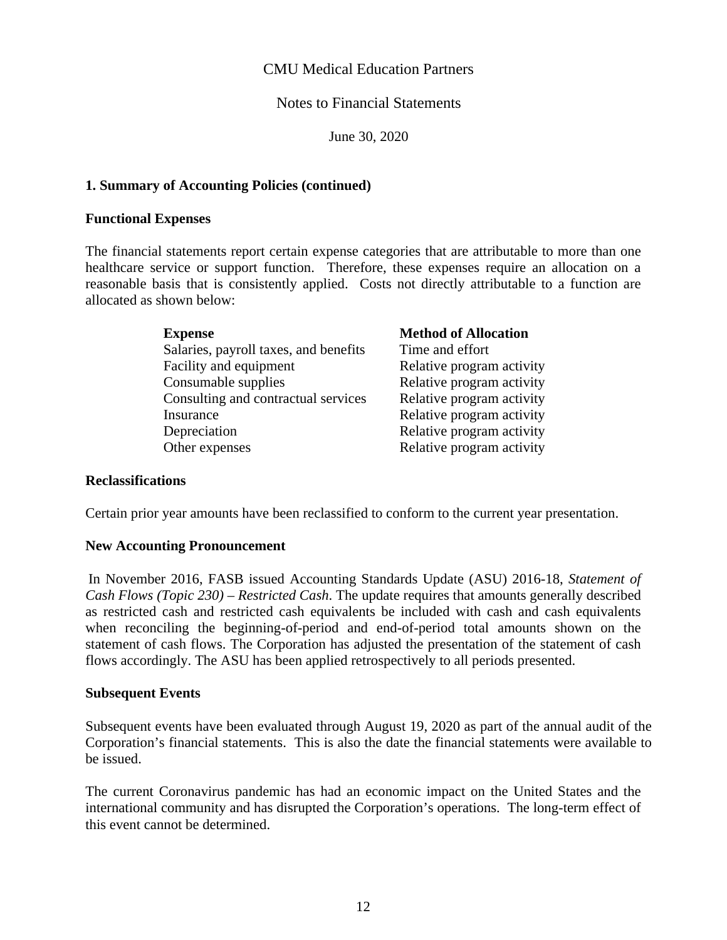### Notes to Financial Statements

June 30, 2020

#### **1. Summary of Accounting Policies (continued)**

#### **Functional Expenses**

The financial statements report certain expense categories that are attributable to more than one healthcare service or support function. Therefore, these expenses require an allocation on a reasonable basis that is consistently applied. Costs not directly attributable to a function are allocated as shown below:

| <b>Expense</b>                        | <b>Method of Allocation</b> |
|---------------------------------------|-----------------------------|
| Salaries, payroll taxes, and benefits | Time and effort             |
| Facility and equipment                | Relative program activity   |
| Consumable supplies                   | Relative program activity   |
| Consulting and contractual services   | Relative program activity   |
| Insurance                             | Relative program activity   |
| Depreciation                          | Relative program activity   |
| Other expenses                        | Relative program activity   |

#### **Reclassifications**

Certain prior year amounts have been reclassified to conform to the current year presentation.

#### **New Accounting Pronouncement**

In November 2016, FASB issued Accounting Standards Update (ASU) 2016-18, *Statement of Cash Flows (Topic 230) – Restricted Cash*. The update requires that amounts generally described as restricted cash and restricted cash equivalents be included with cash and cash equivalents when reconciling the beginning-of-period and end-of-period total amounts shown on the statement of cash flows. The Corporation has adjusted the presentation of the statement of cash flows accordingly. The ASU has been applied retrospectively to all periods presented.

#### **Subsequent Events**

Subsequent events have been evaluated through August 19, 2020 as part of the annual audit of the Corporation's financial statements. This is also the date the financial statements were available to be issued.

The current Coronavirus pandemic has had an economic impact on the United States and the international community and has disrupted the Corporation's operations. The long-term effect of this event cannot be determined.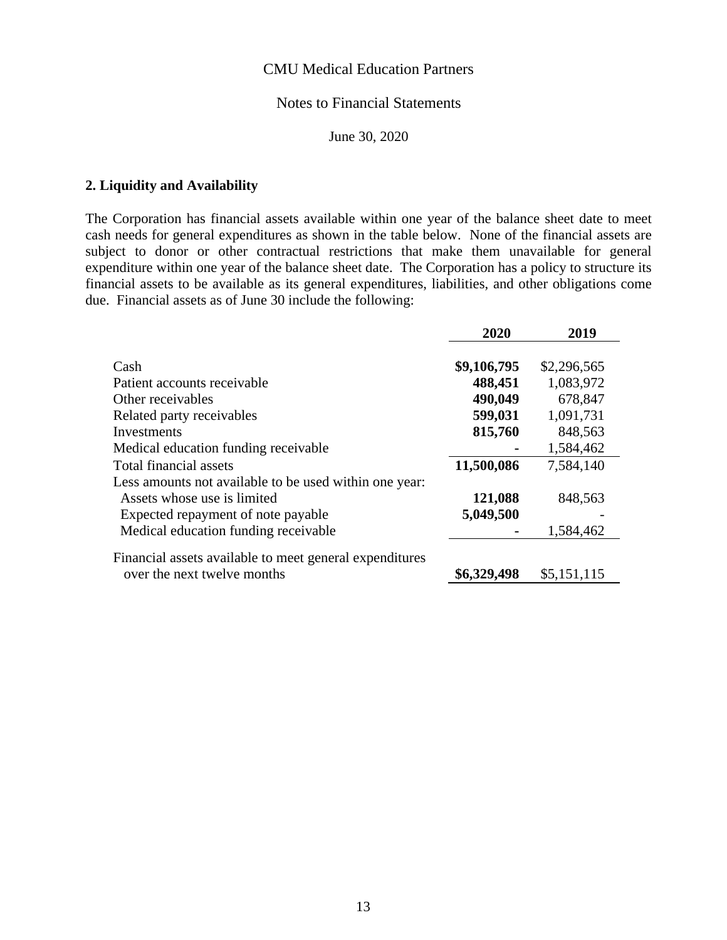#### Notes to Financial Statements

June 30, 2020

#### **2. Liquidity and Availability**

The Corporation has financial assets available within one year of the balance sheet date to meet cash needs for general expenditures as shown in the table below. None of the financial assets are subject to donor or other contractual restrictions that make them unavailable for general expenditure within one year of the balance sheet date. The Corporation has a policy to structure its financial assets to be available as its general expenditures, liabilities, and other obligations come due. Financial assets as of June 30 include the following:

|                                                         | 2020        | 2019        |
|---------------------------------------------------------|-------------|-------------|
|                                                         |             |             |
| Cash                                                    | \$9,106,795 | \$2,296,565 |
| Patient accounts receivable                             | 488,451     | 1,083,972   |
| Other receivables                                       | 490,049     | 678,847     |
| Related party receivables                               | 599,031     | 1,091,731   |
| Investments                                             | 815,760     | 848,563     |
| Medical education funding receivable.                   |             | 1,584,462   |
| Total financial assets                                  | 11,500,086  | 7,584,140   |
| Less amounts not available to be used within one year:  |             |             |
| Assets whose use is limited                             | 121,088     | 848,563     |
| Expected repayment of note payable                      | 5,049,500   |             |
| Medical education funding receivable                    |             | 1,584,462   |
|                                                         |             |             |
| Financial assets available to meet general expenditures |             |             |
| over the next twelve months                             | \$6,329,498 | \$5,151,115 |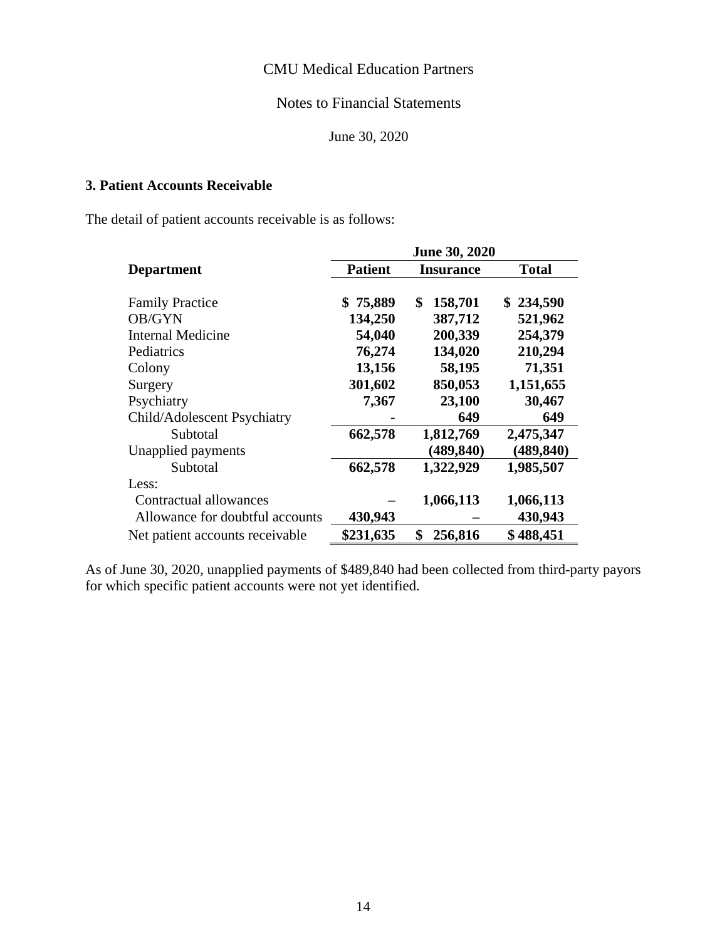# Notes to Financial Statements

June 30, 2020

#### **3. Patient Accounts Receivable**

The detail of patient accounts receivable is as follows:

| <b>June 30, 2020</b>             |                |                  |               |
|----------------------------------|----------------|------------------|---------------|
| <b>Department</b>                | <b>Patient</b> | <b>Insurance</b> | <b>Total</b>  |
| <b>Family Practice</b>           | \$75,889       | \$<br>158,701    | 234,590<br>\$ |
| <b>OB/GYN</b>                    | 134,250        | 387,712          | 521,962       |
| <b>Internal Medicine</b>         | 54,040         | 200,339          | 254,379       |
| Pediatrics                       | 76,274         | 134,020          | 210,294       |
| Colony                           | 13,156         | 58,195           | 71,351        |
| Surgery                          | 301,602        | 850,053          | 1,151,655     |
| Psychiatry                       | 7,367          | 23,100           | 30,467        |
| Child/Adolescent Psychiatry      |                | 649              | 649           |
| Subtotal                         | 662,578        | 1,812,769        | 2,475,347     |
| Unapplied payments               |                | (489, 840)       | (489, 840)    |
| Subtotal                         | 662,578        | 1,322,929        | 1,985,507     |
| Less:                            |                |                  |               |
| Contractual allowances           |                | 1,066,113        | 1,066,113     |
| Allowance for doubtful accounts  | 430,943        |                  | 430,943       |
| Net patient accounts receivable. | \$231,635      | \$<br>256,816    | \$488,451     |

As of June 30, 2020, unapplied payments of \$489,840 had been collected from third-party payors for which specific patient accounts were not yet identified.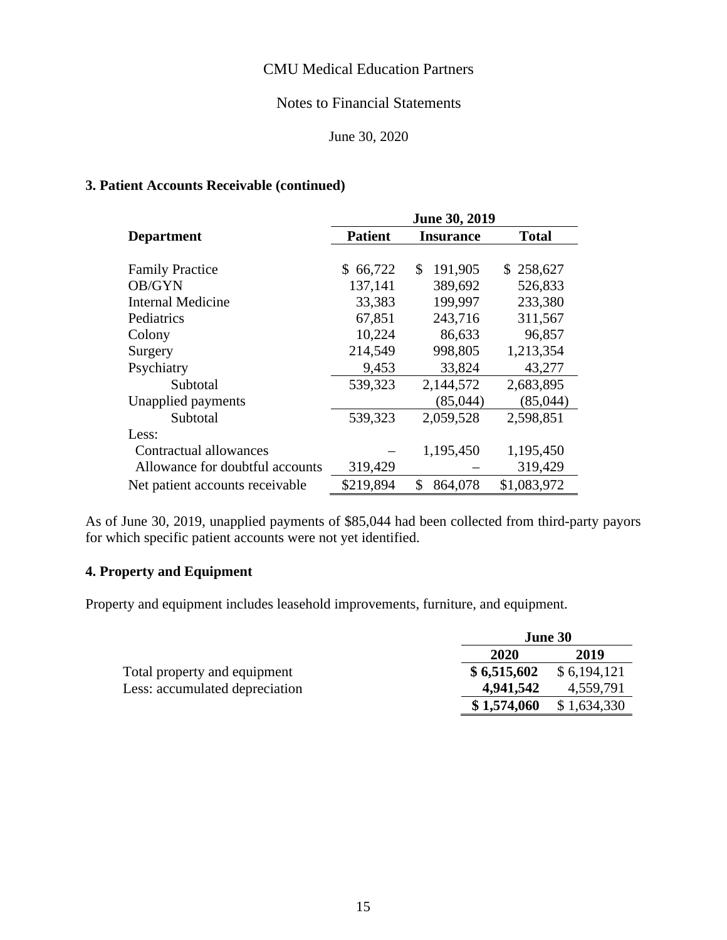# Notes to Financial Statements

June 30, 2020

# **3. Patient Accounts Receivable (continued)**

|                                 | June 30, 2019  |                  |               |  |
|---------------------------------|----------------|------------------|---------------|--|
| <b>Department</b>               | <b>Patient</b> | <b>Insurance</b> | <b>Total</b>  |  |
|                                 |                |                  |               |  |
| <b>Family Practice</b>          | 66,722<br>S.   | 191,905<br>\$    | 258,627<br>S. |  |
| OB/GYN                          | 137,141        | 389,692          | 526,833       |  |
| <b>Internal Medicine</b>        | 33,383         | 199,997          | 233,380       |  |
| Pediatrics                      | 67,851         | 243,716          | 311,567       |  |
| Colony                          | 10,224         | 86,633           | 96,857        |  |
| Surgery                         | 214,549        | 998,805          | 1,213,354     |  |
| Psychiatry                      | 9,453          | 33,824           | 43,277        |  |
| Subtotal                        | 539,323        | 2,144,572        | 2,683,895     |  |
| Unapplied payments              |                | (85,044)         | (85,044)      |  |
| Subtotal                        | 539,323        | 2,059,528        | 2,598,851     |  |
| Less:                           |                |                  |               |  |
| Contractual allowances          |                | 1,195,450        | 1,195,450     |  |
| Allowance for doubtful accounts | 319,429        |                  | 319,429       |  |
| Net patient accounts receivable | \$219,894      | \$<br>864,078    | \$1,083,972   |  |

As of June 30, 2019, unapplied payments of \$85,044 had been collected from third-party payors for which specific patient accounts were not yet identified.

# **4. Property and Equipment**

Property and equipment includes leasehold improvements, furniture, and equipment.

|                                | June 30     |             |  |
|--------------------------------|-------------|-------------|--|
|                                | 2020        | 2019        |  |
| Total property and equipment   | \$6,515,602 | \$6,194,121 |  |
| Less: accumulated depreciation | 4,941,542   | 4,559,791   |  |
|                                | \$1,574,060 | \$1,634,330 |  |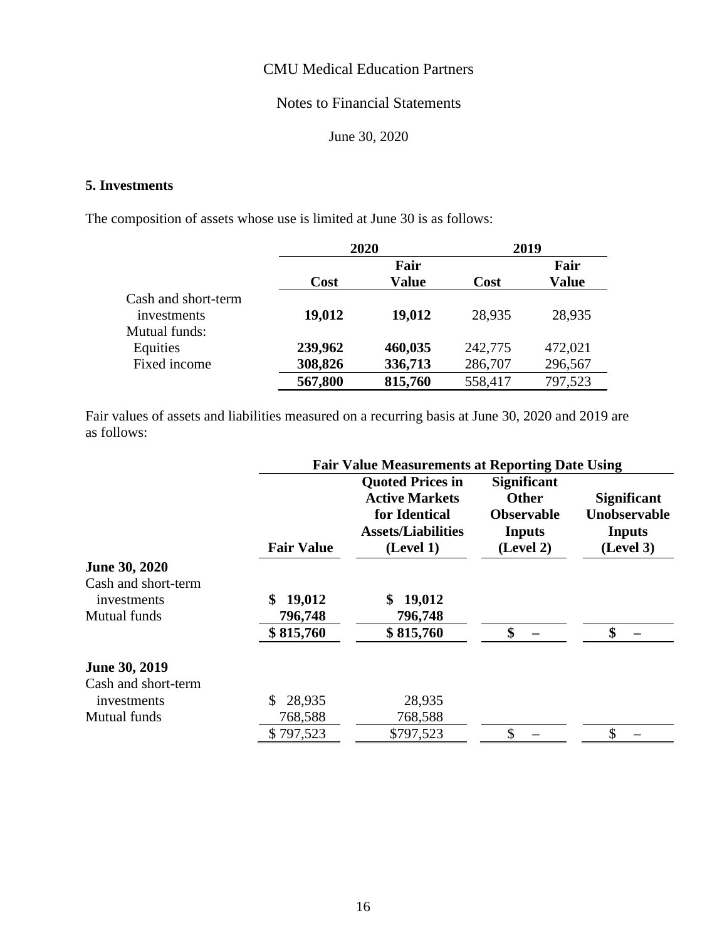# Notes to Financial Statements

June 30, 2020

#### **5. Investments**

The composition of assets whose use is limited at June 30 is as follows:

|                     | 2020    |              | 2019    |              |  |  |  |  |  |  |  |  |  |  |  |  |  |  |  |  |  |  |  |  |  |  |  |  |  |      |
|---------------------|---------|--------------|---------|--------------|--|--|--|--|--|--|--|--|--|--|--|--|--|--|--|--|--|--|--|--|--|--|--|--|--|------|
|                     |         | Fair         |         |              |  |  |  |  |  |  |  |  |  |  |  |  |  |  |  |  |  |  |  |  |  |  |  |  |  | Fair |
|                     | Cost    | <b>Value</b> | Cost    | <b>Value</b> |  |  |  |  |  |  |  |  |  |  |  |  |  |  |  |  |  |  |  |  |  |  |  |  |  |      |
| Cash and short-term |         |              |         |              |  |  |  |  |  |  |  |  |  |  |  |  |  |  |  |  |  |  |  |  |  |  |  |  |  |      |
| investments         | 19,012  | 19,012       | 28,935  | 28,935       |  |  |  |  |  |  |  |  |  |  |  |  |  |  |  |  |  |  |  |  |  |  |  |  |  |      |
| Mutual funds:       |         |              |         |              |  |  |  |  |  |  |  |  |  |  |  |  |  |  |  |  |  |  |  |  |  |  |  |  |  |      |
| Equities            | 239,962 | 460,035      | 242,775 | 472,021      |  |  |  |  |  |  |  |  |  |  |  |  |  |  |  |  |  |  |  |  |  |  |  |  |  |      |
| Fixed income        | 308,826 | 336,713      | 286,707 | 296,567      |  |  |  |  |  |  |  |  |  |  |  |  |  |  |  |  |  |  |  |  |  |  |  |  |  |      |
|                     | 567,800 | 815,760      | 558,417 | 797,523      |  |  |  |  |  |  |  |  |  |  |  |  |  |  |  |  |  |  |  |  |  |  |  |  |  |      |

Fair values of assets and liabilities measured on a recurring basis at June 30, 2020 and 2019 are as follows:

|                      |                   | <b>Fair Value Measurements at Reporting Date Using</b> |                    |                     |  |
|----------------------|-------------------|--------------------------------------------------------|--------------------|---------------------|--|
|                      |                   | <b>Quoted Prices in</b>                                | <b>Significant</b> |                     |  |
|                      |                   | <b>Active Markets</b>                                  | <b>Other</b>       | <b>Significant</b>  |  |
|                      |                   | for Identical                                          | <b>Observable</b>  | <b>Unobservable</b> |  |
|                      |                   | <b>Assets/Liabilities</b>                              | <b>Inputs</b>      | <b>Inputs</b>       |  |
|                      | <b>Fair Value</b> | (Level 1)                                              | (Level 2)          | (Level 3)           |  |
| <b>June 30, 2020</b> |                   |                                                        |                    |                     |  |
| Cash and short-term  |                   |                                                        |                    |                     |  |
| investments          | \$19,012          | 19,012<br>S.                                           |                    |                     |  |
| <b>Mutual funds</b>  | 796,748           | 796,748                                                |                    |                     |  |
|                      | \$815,760         | \$815,760                                              | \$                 |                     |  |
| June 30, 2019        |                   |                                                        |                    |                     |  |
| Cash and short-term  |                   |                                                        |                    |                     |  |
| investments          | 28,935            | 28,935                                                 |                    |                     |  |
| Mutual funds         | 768,588           | 768,588                                                |                    |                     |  |
|                      | \$797,523         | \$797,523                                              | \$                 |                     |  |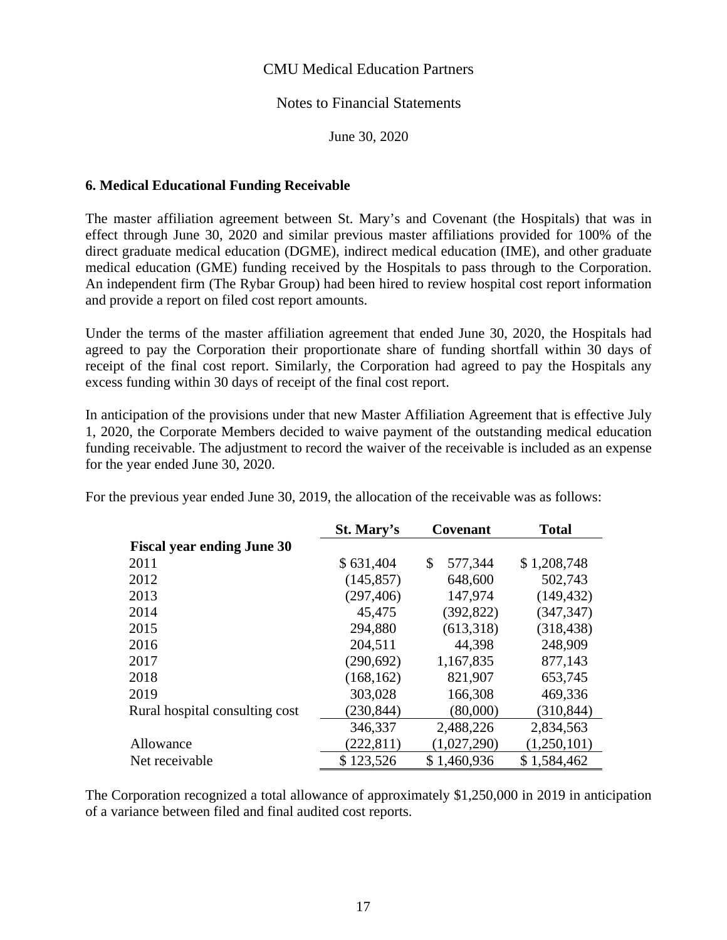#### Notes to Financial Statements

June 30, 2020

#### **6. Medical Educational Funding Receivable**

The master affiliation agreement between St. Mary's and Covenant (the Hospitals) that was in effect through June 30, 2020 and similar previous master affiliations provided for 100% of the direct graduate medical education (DGME), indirect medical education (IME), and other graduate medical education (GME) funding received by the Hospitals to pass through to the Corporation. An independent firm (The Rybar Group) had been hired to review hospital cost report information and provide a report on filed cost report amounts.

Under the terms of the master affiliation agreement that ended June 30, 2020, the Hospitals had agreed to pay the Corporation their proportionate share of funding shortfall within 30 days of receipt of the final cost report. Similarly, the Corporation had agreed to pay the Hospitals any excess funding within 30 days of receipt of the final cost report.

In anticipation of the provisions under that new Master Affiliation Agreement that is effective July 1, 2020, the Corporate Members decided to waive payment of the outstanding medical education funding receivable. The adjustment to record the waiver of the receivable is included as an expense for the year ended June 30, 2020.

|                                   | St. Mary's | <b>Covenant</b> | <b>Total</b> |
|-----------------------------------|------------|-----------------|--------------|
| <b>Fiscal year ending June 30</b> |            |                 |              |
| 2011                              | \$631,404  | \$<br>577,344   | \$1,208,748  |
| 2012                              | (145, 857) | 648,600         | 502,743      |
| 2013                              | (297, 406) | 147,974         | (149, 432)   |
| 2014                              | 45,475     | (392, 822)      | (347, 347)   |
| 2015                              | 294,880    | (613,318)       | (318, 438)   |
| 2016                              | 204,511    | 44,398          | 248,909      |
| 2017                              | (290, 692) | 1,167,835       | 877,143      |
| 2018                              | (168, 162) | 821,907         | 653,745      |
| 2019                              | 303,028    | 166,308         | 469,336      |
| Rural hospital consulting cost    | (230, 844) | (80,000)        | (310, 844)   |
|                                   | 346,337    | 2,488,226       | 2,834,563    |
| Allowance                         | (222, 811) | (1,027,290)     | (1,250,101)  |
| Net receivable                    | \$123,526  | \$1,460,936     | \$1,584,462  |

For the previous year ended June 30, 2019, the allocation of the receivable was as follows:

The Corporation recognized a total allowance of approximately \$1,250,000 in 2019 in anticipation of a variance between filed and final audited cost reports.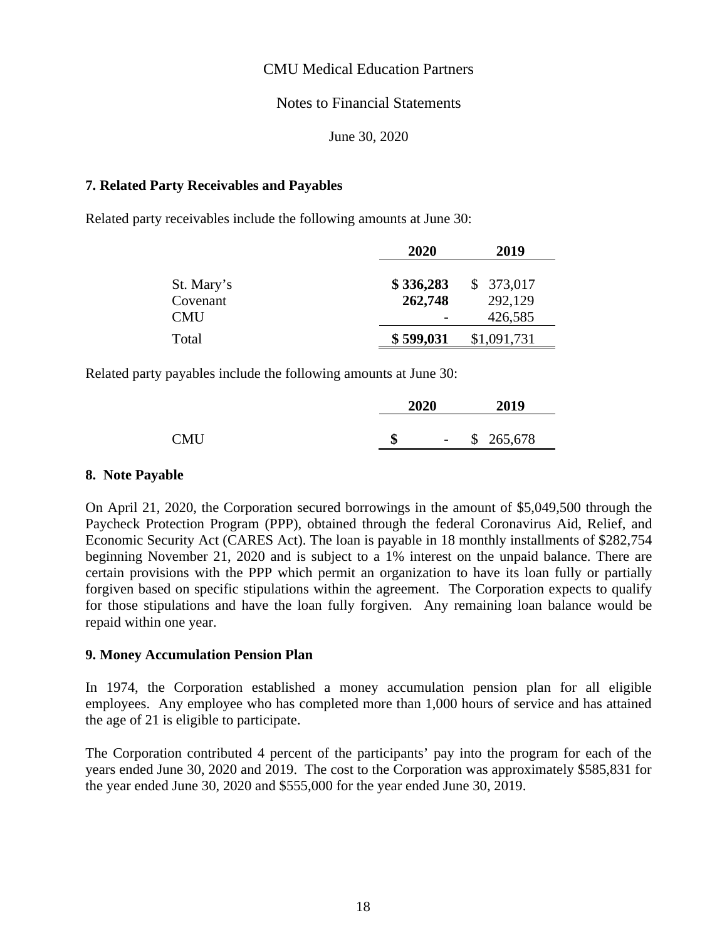### Notes to Financial Statements

June 30, 2020

### **7. Related Party Receivables and Payables**

Related party receivables include the following amounts at June 30:

|            | 2020           | 2019        |
|------------|----------------|-------------|
| St. Mary's | \$336,283      | \$373,017   |
| Covenant   | 262,748        | 292,129     |
| <b>CMU</b> | $\blacksquare$ | 426,585     |
| Total      | \$599,031      | \$1,091,731 |

Related party payables include the following amounts at June 30:

|            |    | 2020           |  | 2019      |  |
|------------|----|----------------|--|-----------|--|
| <b>CMU</b> |    |                |  |           |  |
|            | ۰D | $\blacksquare$ |  | \$265,678 |  |

#### **8. Note Payable**

On April 21, 2020, the Corporation secured borrowings in the amount of \$5,049,500 through the Paycheck Protection Program (PPP), obtained through the federal Coronavirus Aid, Relief, and Economic Security Act (CARES Act). The loan is payable in 18 monthly installments of \$282,754 beginning November 21, 2020 and is subject to a 1% interest on the unpaid balance. There are certain provisions with the PPP which permit an organization to have its loan fully or partially forgiven based on specific stipulations within the agreement. The Corporation expects to qualify for those stipulations and have the loan fully forgiven. Any remaining loan balance would be repaid within one year.

#### **9. Money Accumulation Pension Plan**

In 1974, the Corporation established a money accumulation pension plan for all eligible employees. Any employee who has completed more than 1,000 hours of service and has attained the age of 21 is eligible to participate.

The Corporation contributed 4 percent of the participants' pay into the program for each of the years ended June 30, 2020 and 2019. The cost to the Corporation was approximately \$585,831 for the year ended June 30, 2020 and \$555,000 for the year ended June 30, 2019.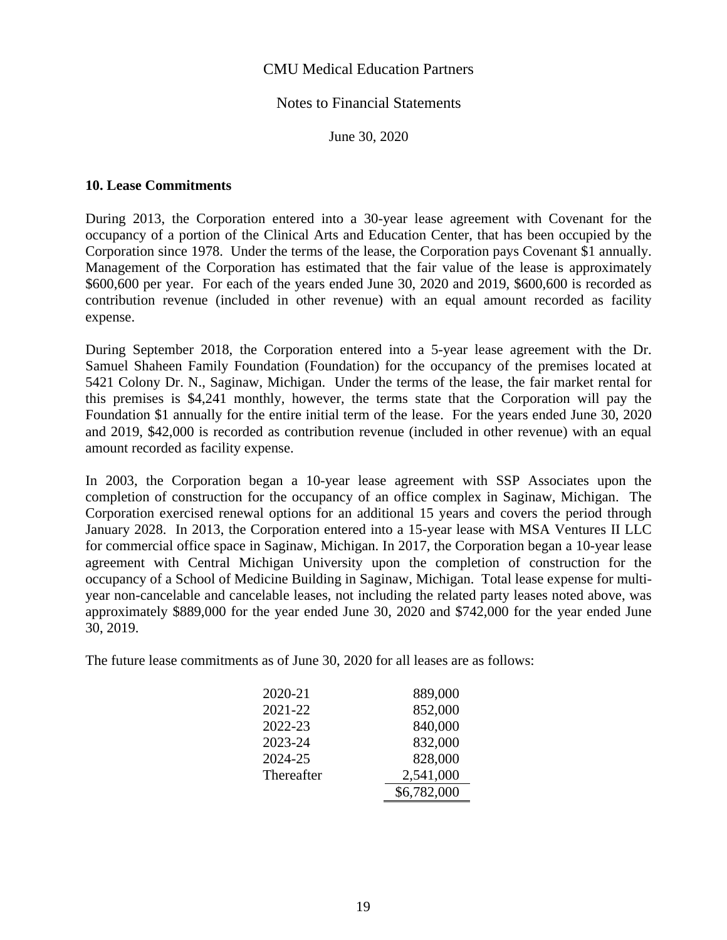#### Notes to Financial Statements

June 30, 2020

#### **10. Lease Commitments**

During 2013, the Corporation entered into a 30-year lease agreement with Covenant for the occupancy of a portion of the Clinical Arts and Education Center, that has been occupied by the Corporation since 1978. Under the terms of the lease, the Corporation pays Covenant \$1 annually. Management of the Corporation has estimated that the fair value of the lease is approximately \$600,600 per year. For each of the years ended June 30, 2020 and 2019, \$600,600 is recorded as contribution revenue (included in other revenue) with an equal amount recorded as facility expense.

During September 2018, the Corporation entered into a 5-year lease agreement with the Dr. Samuel Shaheen Family Foundation (Foundation) for the occupancy of the premises located at 5421 Colony Dr. N., Saginaw, Michigan. Under the terms of the lease, the fair market rental for this premises is \$4,241 monthly, however, the terms state that the Corporation will pay the Foundation \$1 annually for the entire initial term of the lease. For the years ended June 30, 2020 and 2019, \$42,000 is recorded as contribution revenue (included in other revenue) with an equal amount recorded as facility expense.

In 2003, the Corporation began a 10-year lease agreement with SSP Associates upon the completion of construction for the occupancy of an office complex in Saginaw, Michigan. The Corporation exercised renewal options for an additional 15 years and covers the period through January 2028. In 2013, the Corporation entered into a 15-year lease with MSA Ventures II LLC for commercial office space in Saginaw, Michigan. In 2017, the Corporation began a 10-year lease agreement with Central Michigan University upon the completion of construction for the occupancy of a School of Medicine Building in Saginaw, Michigan. Total lease expense for multiyear non-cancelable and cancelable leases, not including the related party leases noted above, was approximately \$889,000 for the year ended June 30, 2020 and \$742,000 for the year ended June 30, 2019.

The future lease commitments as of June 30, 2020 for all leases are as follows:

| 2020-21    | 889,000     |
|------------|-------------|
| 2021-22    | 852,000     |
| 2022-23    | 840,000     |
| 2023-24    | 832,000     |
| 2024-25    | 828,000     |
| Thereafter | 2,541,000   |
|            | \$6,782,000 |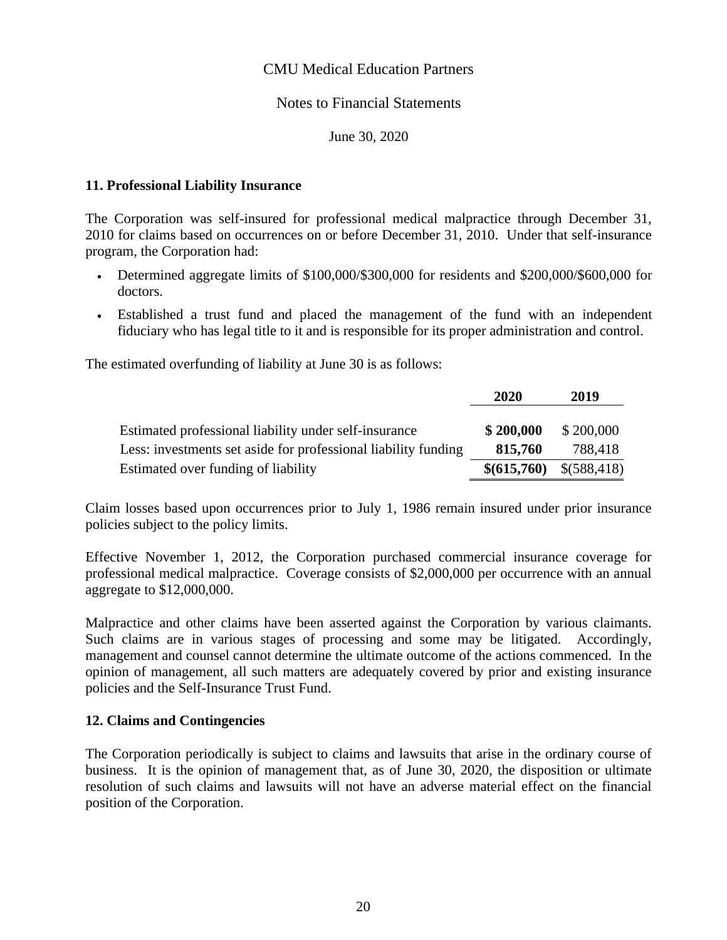# Notes to Financial Statements

June 30, 2020

# **11. Professional Liability Insurance**

The Corporation was self-insured for professional medical malpractice through December 31, 2010 for claims based on occurrences on or before December 31, 2010. Under that self-insurance program, the Corporation had:

- Determined aggregate limits of \$100,000/\$300,000 for residents and \$200,000/\$600,000 for doctors.
- Established a trust fund and placed the management of the fund with an independent fiduciary who has legal title to it and is responsible for its proper administration and control.

The estimated overfunding of liability at June 30 is as follows:

|                                                                | 2020        | 2019          |
|----------------------------------------------------------------|-------------|---------------|
| Estimated professional liability under self-insurance          | \$200,000   | \$200,000     |
| Less: investments set aside for professional liability funding | 815,760     | 788,418       |
| Estimated over funding of liability                            | \$(615,760) | \$ (588, 418) |

Claim losses based upon occurrences prior to July 1, 1986 remain insured under prior insurance policies subject to the policy limits.

Effective November 1, 2012, the Corporation purchased commercial insurance coverage for professional medical malpractice. Coverage consists of \$2,000,000 per occurrence with an annual aggregate to \$12,000,000.

Malpractice and other claims have been asserted against the Corporation by various claimants. Such claims are in various stages of processing and some may be litigated. Accordingly, management and counsel cannot determine the ultimate outcome of the actions commenced. In the opinion of management, all such matters are adequately covered by prior and existing insurance policies and the Self-Insurance Trust Fund.

#### **12. Claims and Contingencies**

The Corporation periodically is subject to claims and lawsuits that arise in the ordinary course of business. It is the opinion of management that, as of June 30, 2020, the disposition or ultimate resolution of such claims and lawsuits will not have an adverse material effect on the financial position of the Corporation.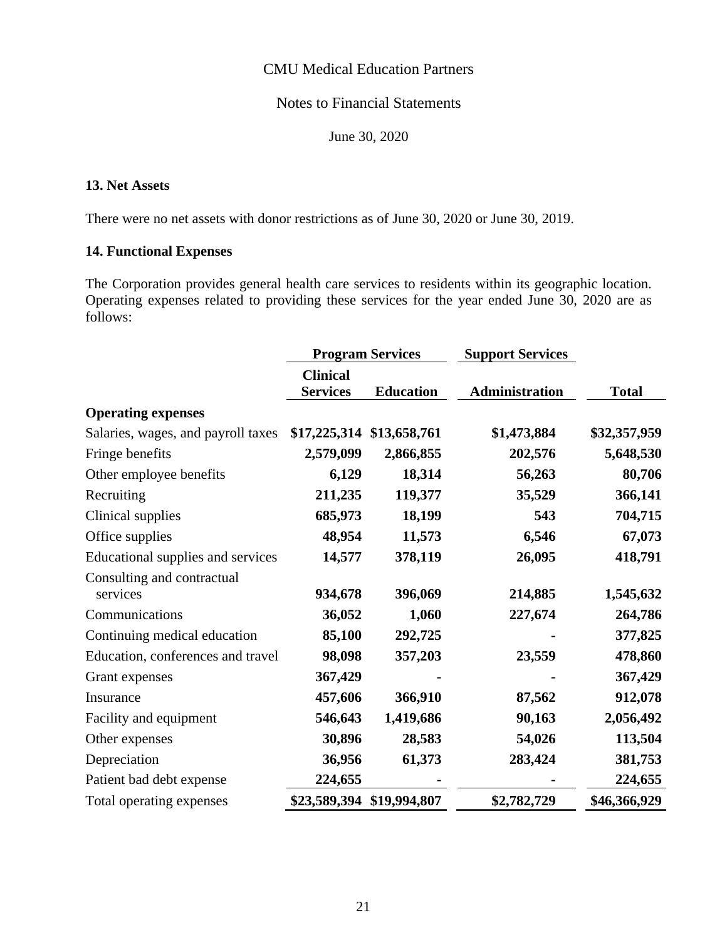# Notes to Financial Statements

June 30, 2020

#### **13. Net Assets**

There were no net assets with donor restrictions as of June 30, 2020 or June 30, 2019.

# **14. Functional Expenses**

The Corporation provides general health care services to residents within its geographic location. Operating expenses related to providing these services for the year ended June 30, 2020 are as follows:

|                                        | <b>Program Services</b>            |                           | <b>Support Services</b> |              |
|----------------------------------------|------------------------------------|---------------------------|-------------------------|--------------|
|                                        | <b>Clinical</b><br><b>Services</b> | <b>Education</b>          | Administration          | <b>Total</b> |
| <b>Operating expenses</b>              |                                    |                           |                         |              |
| Salaries, wages, and payroll taxes     | \$17,225,314                       | \$13,658,761              | \$1,473,884             | \$32,357,959 |
| Fringe benefits                        | 2,579,099                          | 2,866,855                 | 202,576                 | 5,648,530    |
| Other employee benefits                | 6,129                              | 18,314                    | 56,263                  | 80,706       |
| Recruiting                             | 211,235                            | 119,377                   | 35,529                  | 366,141      |
| <b>Clinical supplies</b>               | 685,973                            | 18,199                    | 543                     | 704,715      |
| Office supplies                        | 48,954                             | 11,573                    | 6,546                   | 67,073       |
| Educational supplies and services      | 14,577                             | 378,119                   | 26,095                  | 418,791      |
| Consulting and contractual<br>services | 934,678                            | 396,069                   | 214,885                 | 1,545,632    |
| Communications                         | 36,052                             | 1,060                     | 227,674                 | 264,786      |
| Continuing medical education           | 85,100                             | 292,725                   |                         | 377,825      |
| Education, conferences and travel      | 98,098                             | 357,203                   | 23,559                  | 478,860      |
| Grant expenses                         | 367,429                            |                           |                         | 367,429      |
| Insurance                              | 457,606                            | 366,910                   | 87,562                  | 912,078      |
| Facility and equipment                 | 546,643                            | 1,419,686                 | 90,163                  | 2,056,492    |
| Other expenses                         | 30,896                             | 28,583                    | 54,026                  | 113,504      |
| Depreciation                           | 36,956                             | 61,373                    | 283,424                 | 381,753      |
| Patient bad debt expense               | 224,655                            |                           |                         | 224,655      |
| Total operating expenses               |                                    | \$23,589,394 \$19,994,807 | \$2,782,729             | \$46,366,929 |